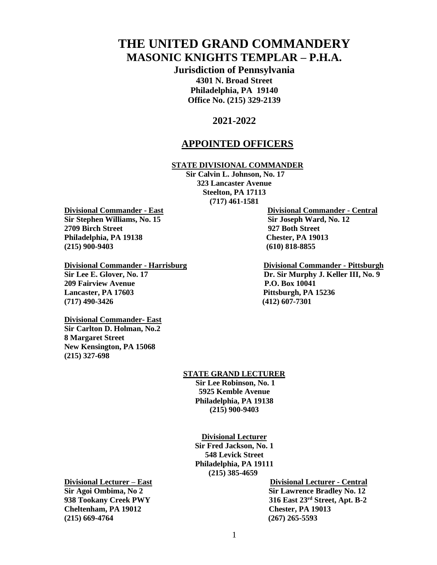# **THE UNITED GRAND COMMANDERY MASONIC KNIGHTS TEMPLAR – P.H.A.**

**Jurisdiction of Pennsylvania 4301 N. Broad Street Philadelphia, PA 19140 Office No. (215) 329-2139**

# **2021-2022**

# **APPOINTED OFFICERS**

### **STATE DIVISIONAL COMMANDER**

**Sir Calvin L. Johnson, No. 17 323 Lancaster Avenue Steelton, PA 17113 (717) 461-1581**

**Divisional Commander - East Divisional Commander - Central Sir Stephen Williams, No. 15** Sir **Stephen Ward, No. 12 2709 Birch Street 927 Both Street Philadelphia, PA 19138 Chester, PA 19013 (215) 900-9403 (610) 818-8855** 

#### **Divisional Commander - Harrisburg Divisional Commander - Pittsburgh**

**209 Fairview Avenue P.O. Box 10041 Lancaster, PA 17603 Pittsburgh, PA 15236 (717) 490-3426 (412) 607-7301**

**Divisional Commander- East Sir Carlton D. Holman, No.2 8 Margaret Street New Kensington, PA 15068 (215) 327-698**

### **STATE GRAND LECTURER**

**Sir Lee Robinson, No. 1 5925 Kemble Avenue Philadelphia, PA 19138 (215) 900-9403**

**Divisional Lecturer**

**Sir Fred Jackson, No. 1 548 Levick Street Philadelphia, PA 19111 (215) 385-4659**

**Cheltenham, PA 19012 Chester, PA 19013 (215) 669-4764 (267) 265-5593** 

**Divisional Lecturer – East Divisional Lecturer - Central Sir Agoi Ombima, No 2 Sir Lawrence Bradley No. 12 938 Tookany Creek PWY 316 East 23rd Street, Apt. B-2**

**Sir Lee E. Glover, No. 17 Dr. Sir Murphy J. Keller III, No. 9**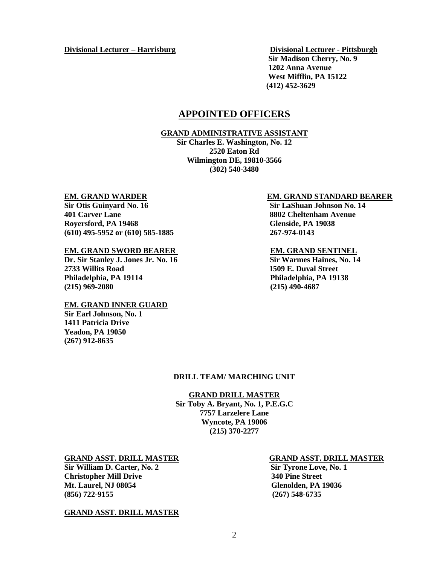**Divisional Lecturer – Harrisburg Divisional Lecturer - Pittsburgh**

 **Sir Madison Cherry, No. 9 1202 Anna Avenue West Mifflin, PA 15122 (412) 452-3629** 

# **APPOINTED OFFICERS**

### **GRAND ADMINISTRATIVE ASSISTANT**

**Sir Charles E. Washington, No. 12 2520 Eaton Rd Wilmington DE, 19810-3566 (302) 540-3480**

**Sir Otis Guinyard No. 16 Sir LaShuan Johnson No. 14 401 Carver Lane 8802 Cheltenham Avenue Royersford, PA 19468 Glenside, PA 19038 (610) 495-5952 or (610) 585-1885 267-974-0143** 

# **EM. GRAND SWORD BEARER <b>EM. GRAND** SENTINEL<br>Dr. Sir Stanley J. Jones Jr. No. 16 Sir Warmes Haines, No. 14

**Dr. Sir Stanley J. Jones Jr. No. 16 2733 Willits Road 1509 E. Duval Street Philadelphia, PA 19114 Philadelphia, PA 19138 (215) 969-2080 (215) 490-4687**

#### **EM. GRAND INNER GUARD**

**Sir Earl Johnson, No. 1 1411 Patricia Drive Yeadon, PA 19050 (267) 912-8635**

#### **EM. GRAND WARDER EM. GRAND STANDARD BEARER**

### **DRILL TEAM/ MARCHING UNIT**

#### **GRAND DRILL MASTER**

**Sir Toby A. Bryant, No. 1, P.E.G.C 7757 Larzelere Lane Wyncote, PA 19006 (215) 370-2277**

#### **GRAND ASST. DRILL MASTER GRAND ASST. DRILL MASTER**

Sir William D. Carter, No. 2 Sir Tyrone Love, No. 1 **Christopher Mill Drive 340 Pine Street Mt. Laurel, NJ 08054 Glenolden, PA 19036 (856) 722-9155 (267) 548-6735**

#### **GRAND ASST. DRILL MASTER**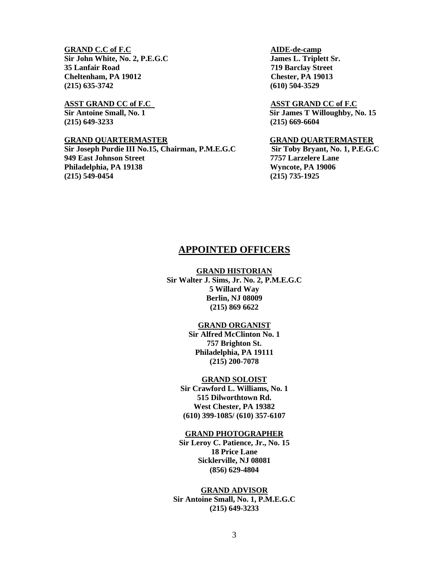### **GRAND C.C of F.C** AIDE-de-camp

Sir John White, No. 2, P.E.G.C James L. Triplett Sr. **35 Lanfair Road 719 Barclay Street Cheltenham, PA 19012 Chester, PA 19013 (215) 635-3742 (610) 504-3529** 

**(215) 649-3233 (215) 669-6604**

**Sir Joseph Purdie III No.15, Chairman, P.M.E.G.C Sir Toby Bryant, No. 1, P.E.G.C 949 East Johnson Street 7757 Larzelere Lane Philadelphia, PA 19138 Wyncote, PA 19006 (215) 549-0454 (215) 735-1925**

#### **ASST GRAND CC of F.C. ASST GRAND CC of F.C**

**Sir Antoine Small, No. 1 Sir James T Willoughby, No. 15**

#### **GRAND QUARTERMASTER GRAND QUARTERMASTER**

# **APPOINTED OFFICERS**

#### **GRAND HISTORIAN**

**Sir Walter J. Sims, Jr. No. 2, P.M.E.G.C 5 Willard Way Berlin, NJ 08009 (215) 869 6622** 

### **GRAND ORGANIST**

**Sir Alfred McClinton No. 1 757 Brighton St. Philadelphia, PA 19111 (215) 200-7078**

#### **GRAND SOLOIST**

**Sir Crawford L. Williams, No. 1 515 Dilworthtown Rd. West Chester, PA 19382 (610) 399-1085/ (610) 357-6107**

#### **GRAND PHOTOGRAPHER**

**Sir Leroy C. Patience, Jr., No. 15 18 Price Lane Sicklerville, NJ 08081 (856) 629-4804**

### **GRAND ADVISOR**

**Sir Antoine Small, No. 1, P.M.E.G.C (215) 649-3233**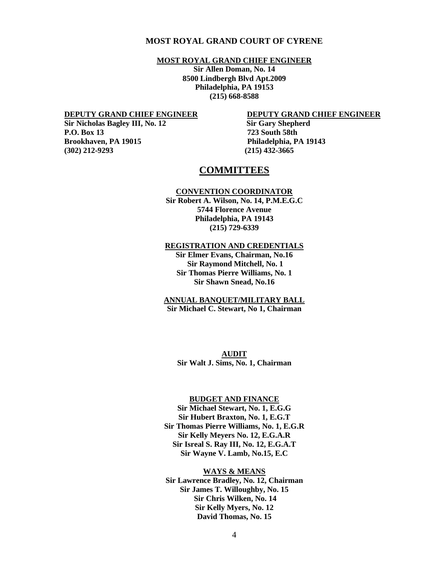### **MOST ROYAL GRAND COURT OF CYRENE**

#### **MOST ROYAL GRAND CHIEF ENGINEER**

**Sir Allen Doman, No. 14 8500 Lindbergh Blvd Apt.2009 Philadelphia, PA 19153 (215) 668-8588**

**Sir Nicholas Bagley III, No. 12** Sir Gary Shepherd **P.O. Box 13 723 South 58th (302) 212-9293 (215) 432-3665** 

#### **DEPUTY GRAND CHIEF ENGINEER DEPUTY GRAND CHIEF ENGINEER**

**Brookhaven, PA 19015 Philadelphia, PA 19143** 

## **COMMITTEES**

#### **CONVENTION COORDINATOR**

**Sir Robert A. Wilson, No. 14, P.M.E.G.C 5744 Florence Avenue Philadelphia, PA 19143 (215) 729-6339**

### **REGISTRATION AND CREDENTIALS**

**Sir Elmer Evans, Chairman, No.16 Sir Raymond Mitchell, No. 1 Sir Thomas Pierre Williams, No. 1 Sir Shawn Snead, No.16**

#### **ANNUAL BANQUET/MILITARY BALL Sir Michael C. Stewart, No 1, Chairman**

**AUDIT Sir Walt J. Sims, No. 1, Chairman**

#### **BUDGET AND FINANCE**

**Sir Michael Stewart, No. 1, E.G.G Sir Hubert Braxton, No. 1, E.G.T Sir Thomas Pierre Williams, No. 1, E.G.R Sir Kelly Meyers No. 12, E.G.A.R Sir Isreal S. Ray III, No. 12, E.G.A.T Sir Wayne V. Lamb, No.15, E.C**

#### **WAYS & MEANS**

**Sir Lawrence Bradley, No. 12, Chairman Sir James T. Willoughby, No. 15 Sir Chris Wilken, No. 14 Sir Kelly Myers, No. 12 David Thomas, No. 15**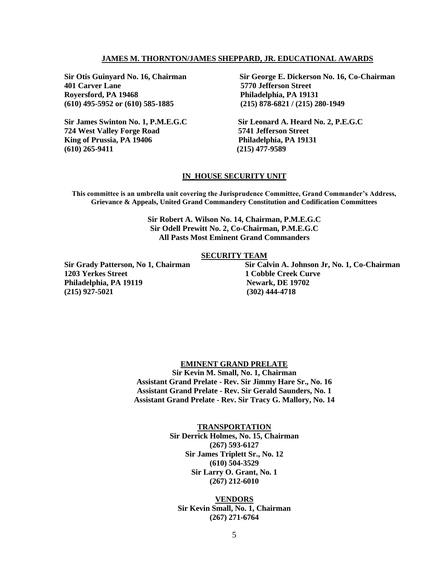### **JAMES M. THORNTON/JAMES SHEPPARD, JR. EDUCATIONAL AWARDS**

**401 Carver Lane 5770 Jefferson Street Royersford, PA 19468 Philadelphia, PA 19131 (610) 495-5952 or (610) 585-1885 (215) 878-6821 / (215) 280-1949**

**724 West Valley Forge Road 5741 Jefferson Street King of Prussia, PA 19406 Philadelphia, PA 19131 (610) 265-9411 (215) 477-9589**

**Sir Otis Guinyard No. 16, Chairman Sir George E. Dickerson No. 16, Co-Chairman**

**Sir James Swinton No. 1, P.M.E.G.C Sir Leonard A. Heard No. 2, P.E.G.C**

#### **IN\_HOUSE SECURITY UNIT**

**This committee is an umbrella unit covering the Jurisprudence Committee, Grand Commander's Address, Grievance & Appeals, United Grand Commandery Constitution and Codification Committees**

> **Sir Robert A. Wilson No. 14, Chairman, P.M.E.G.C Sir Odell Prewitt No. 2, Co-Chairman, P.M.E.G.C All Pasts Most Eminent Grand Commanders**

#### **SECURITY TEAM**

**1203 Yerkes Street 1 Cobble Creek Curve** Philadelphia, PA 19119 Newark, DE 19702 **(215) 927-5021 (302) 444-4718**

**Sir Grady Patterson, No 1, Chairman Sir Calvin A. Johnson Jr, No. 1, Co-Chairman**

#### **EMINENT GRAND PRELATE**

**Sir Kevin M. Small, No. 1, Chairman Assistant Grand Prelate - Rev. Sir Jimmy Hare Sr., No. 16 Assistant Grand Prelate - Rev. Sir Gerald Saunders, No. 1 Assistant Grand Prelate - Rev. Sir Tracy G. Mallory, No. 14**

#### **TRANSPORTATION**

**Sir Derrick Holmes, No. 15, Chairman (267) 593-6127 Sir James Triplett Sr., No. 12 (610) 504-3529 Sir Larry O. Grant, No. 1 (267) 212-6010**

**VENDORS Sir Kevin Small, No. 1, Chairman (267) 271-6764**